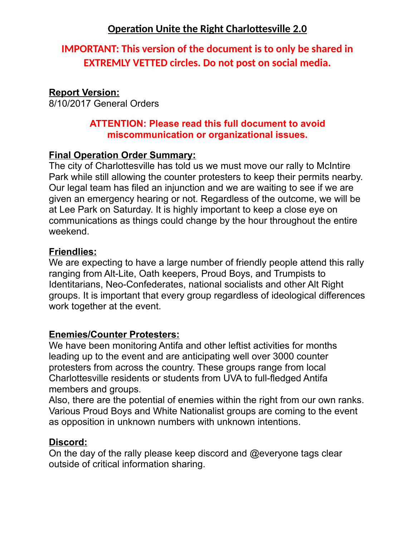# **IMPORTANT: This version of the document is to only be shared in EXTREMLY VETTED circles. Do not post on social media.**

### **Report Version:**

8/10/2017 General Orders

#### **ATTENTION: Please read this full document to avoid miscommunication or organizational issues.**

#### **Final Operation Order Summary:**

The city of Charlottesville has told us we must move our rally to McIntire Park while still allowing the counter protesters to keep their permits nearby. Our legal team has filed an injunction and we are waiting to see if we are given an emergency hearing or not. Regardless of the outcome, we will be at Lee Park on Saturday. It is highly important to keep a close eye on communications as things could change by the hour throughout the entire weekend.

#### **Friendlies:**

We are expecting to have a large number of friendly people attend this rally ranging from Alt-Lite, Oath keepers, Proud Boys, and Trumpists to Identitarians, Neo-Confederates, national socialists and other Alt Right groups. It is important that every group regardless of ideological differences work together at the event.

#### **Enemies/Counter Protesters:**

We have been monitoring Antifa and other leftist activities for months leading up to the event and are anticipating well over 3000 counter protesters from across the country. These groups range from local Charlottesville residents or students from UVA to full-fledged Antifa members and groups.

Also, there are the potential of enemies within the right from our own ranks. Various Proud Boys and White Nationalist groups are coming to the event as opposition in unknown numbers with unknown intentions.

#### **Discord:**

On the day of the rally please keep discord and @everyone tags clear outside of critical information sharing.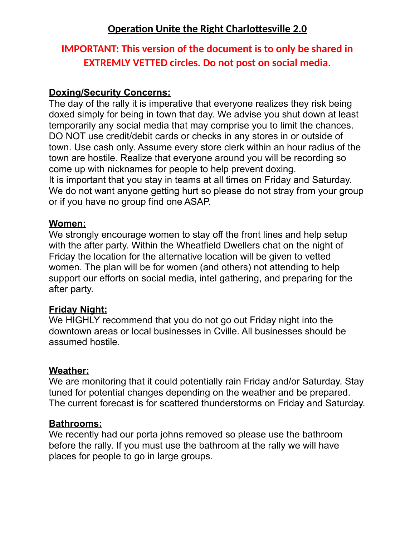# **IMPORTANT: This version of the document is to only be shared in EXTREMLY VETTED circles. Do not post on social media.**

### **Doxing/Security Concerns:**

The day of the rally it is imperative that everyone realizes they risk being doxed simply for being in town that day. We advise you shut down at least temporarily any social media that may comprise you to limit the chances. DO NOT use credit/debit cards or checks in any stores in or outside of town. Use cash only. Assume every store clerk within an hour radius of the town are hostile. Realize that everyone around you will be recording so come up with nicknames for people to help prevent doxing. It is important that you stay in teams at all times on Friday and Saturday. We do not want anyone getting hurt so please do not stray from your group or if you have no group find one ASAP.

#### **Women:**

We strongly encourage women to stay off the front lines and help setup with the after party. Within the Wheatfield Dwellers chat on the night of Friday the location for the alternative location will be given to vetted women. The plan will be for women (and others) not attending to help support our efforts on social media, intel gathering, and preparing for the after party.

#### **Friday Night:**

We HIGHLY recommend that you do not go out Friday night into the downtown areas or local businesses in Cville. All businesses should be assumed hostile.

#### **Weather:**

We are monitoring that it could potentially rain Friday and/or Saturday. Stay tuned for potential changes depending on the weather and be prepared. The current forecast is for scattered thunderstorms on Friday and Saturday.

#### **Bathrooms:**

We recently had our porta johns removed so please use the bathroom before the rally. If you must use the bathroom at the rally we will have places for people to go in large groups.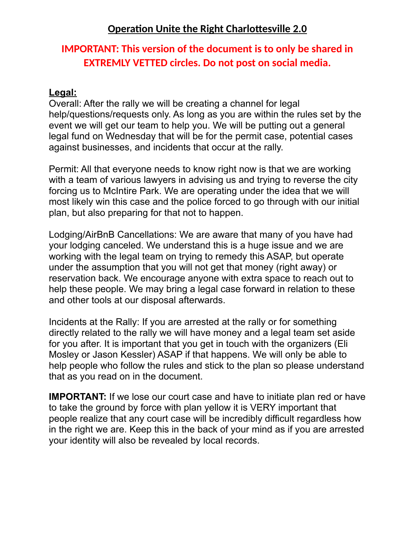# **IMPORTANT: This version of the document is to only be shared in EXTREMLY VETTED circles. Do not post on social media.**

#### **Legal:**

Overall: After the rally we will be creating a channel for legal help/questions/requests only. As long as you are within the rules set by the event we will get our team to help you. We will be putting out a general legal fund on Wednesday that will be for the permit case, potential cases against businesses, and incidents that occur at the rally.

Permit: All that everyone needs to know right now is that we are working with a team of various lawyers in advising us and trying to reverse the city forcing us to McIntire Park. We are operating under the idea that we will most likely win this case and the police forced to go through with our initial plan, but also preparing for that not to happen.

Lodging/AirBnB Cancellations: We are aware that many of you have had your lodging canceled. We understand this is a huge issue and we are working with the legal team on trying to remedy this ASAP, but operate under the assumption that you will not get that money (right away) or reservation back. We encourage anyone with extra space to reach out to help these people. We may bring a legal case forward in relation to these and other tools at our disposal afterwards.

Incidents at the Rally: If you are arrested at the rally or for something directly related to the rally we will have money and a legal team set aside for you after. It is important that you get in touch with the organizers (Eli Mosley or Jason Kessler) ASAP if that happens. We will only be able to help people who follow the rules and stick to the plan so please understand that as you read on in the document.

**IMPORTANT:** If we lose our court case and have to initiate plan red or have to take the ground by force with plan yellow it is VERY important that people realize that any court case will be incredibly difficult regardless how in the right we are. Keep this in the back of your mind as if you are arrested your identity will also be revealed by local records.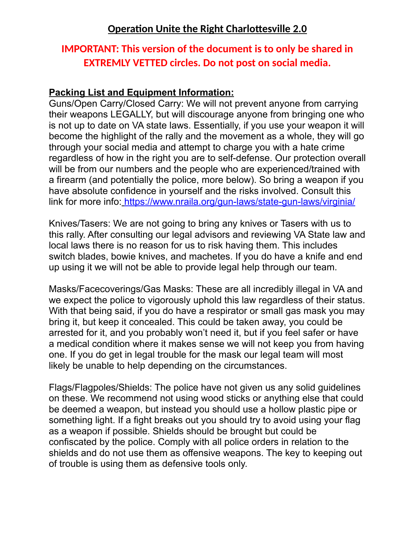# **IMPORTANT: This version of the document is to only be shared in EXTREMLY VETTED circles. Do not post on social media.**

#### **Packing List and Equipment Information:**

Guns/Open Carry/Closed Carry: We will not prevent anyone from carrying their weapons LEGALLY, but will discourage anyone from bringing one who is not up to date on VA state laws. Essentially, if you use your weapon it will become the highlight of the rally and the movement as a whole, they will go through your social media and attempt to charge you with a hate crime regardless of how in the right you are to self-defense. Our protection overall will be from our numbers and the people who are experienced/trained with a firearm (and potentially the police, more below). So bring a weapon if you have absolute confidence in yourself and the risks involved. Consult this link for more info[: https://www.nraila.org/gun-laws/state-gun-laws/virginia/](https://www.nraila.org/gun-laws/state-gun-laws/virginia/)

Knives/Tasers: We are not going to bring any knives or Tasers with us to this rally. After consulting our legal advisors and reviewing VA State law and local laws there is no reason for us to risk having them. This includes switch blades, bowie knives, and machetes. If you do have a knife and end up using it we will not be able to provide legal help through our team.

Masks/Facecoverings/Gas Masks: These are all incredibly illegal in VA and we expect the police to vigorously uphold this law regardless of their status. With that being said, if you do have a respirator or small gas mask you may bring it, but keep it concealed. This could be taken away, you could be arrested for it, and you probably won't need it, but if you feel safer or have a medical condition where it makes sense we will not keep you from having one. If you do get in legal trouble for the mask our legal team will most likely be unable to help depending on the circumstances.

Flags/Flagpoles/Shields: The police have not given us any solid guidelines on these. We recommend not using wood sticks or anything else that could be deemed a weapon, but instead you should use a hollow plastic pipe or something light. If a fight breaks out you should try to avoid using your flag as a weapon if possible. Shields should be brought but could be confiscated by the police. Comply with all police orders in relation to the shields and do not use them as offensive weapons. The key to keeping out of trouble is using them as defensive tools only.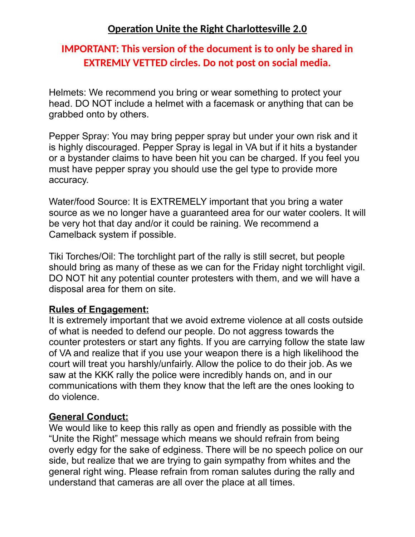# **IMPORTANT: This version of the document is to only be shared in EXTREMLY VETTED circles. Do not post on social media.**

Helmets: We recommend you bring or wear something to protect your head. DO NOT include a helmet with a facemask or anything that can be grabbed onto by others.

Pepper Spray: You may bring pepper spray but under your own risk and it is highly discouraged. Pepper Spray is legal in VA but if it hits a bystander or a bystander claims to have been hit you can be charged. If you feel you must have pepper spray you should use the gel type to provide more accuracy.

Water/food Source: It is EXTREMELY important that you bring a water source as we no longer have a guaranteed area for our water coolers. It will be very hot that day and/or it could be raining. We recommend a Camelback system if possible.

Tiki Torches/Oil: The torchlight part of the rally is still secret, but people should bring as many of these as we can for the Friday night torchlight vigil. DO NOT hit any potential counter protesters with them, and we will have a disposal area for them on site.

#### **Rules of Engagement:**

It is extremely important that we avoid extreme violence at all costs outside of what is needed to defend our people. Do not aggress towards the counter protesters or start any fights. If you are carrying follow the state law of VA and realize that if you use your weapon there is a high likelihood the court will treat you harshly/unfairly. Allow the police to do their job. As we saw at the KKK rally the police were incredibly hands on, and in our communications with them they know that the left are the ones looking to do violence.

### **General Conduct:**

We would like to keep this rally as open and friendly as possible with the "Unite the Right" message which means we should refrain from being overly edgy for the sake of edginess. There will be no speech police on our side, but realize that we are trying to gain sympathy from whites and the general right wing. Please refrain from roman salutes during the rally and understand that cameras are all over the place at all times.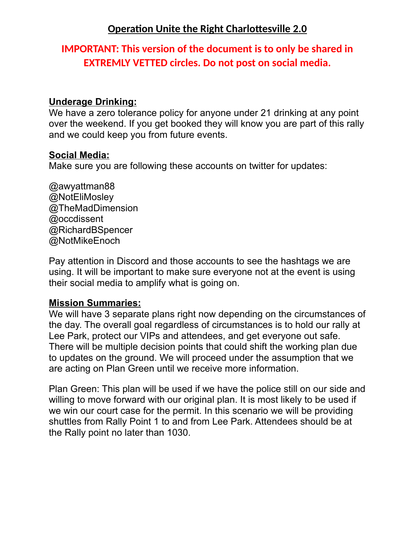# **IMPORTANT: This version of the document is to only be shared in EXTREMLY VETTED circles. Do not post on social media.**

#### **Underage Drinking:**

We have a zero tolerance policy for anyone under 21 drinking at any point over the weekend. If you get booked they will know you are part of this rally and we could keep you from future events.

#### **Social Media:**

Make sure you are following these accounts on twitter for updates:

@awyattman88 @NotEliMosley @TheMadDimension @occdissent @RichardBSpencer @NotMikeEnoch

Pay attention in Discord and those accounts to see the hashtags we are using. It will be important to make sure everyone not at the event is using their social media to amplify what is going on.

#### **Mission Summaries:**

We will have 3 separate plans right now depending on the circumstances of the day. The overall goal regardless of circumstances is to hold our rally at Lee Park, protect our VIPs and attendees, and get everyone out safe. There will be multiple decision points that could shift the working plan due to updates on the ground. We will proceed under the assumption that we are acting on Plan Green until we receive more information.

Plan Green: This plan will be used if we have the police still on our side and willing to move forward with our original plan. It is most likely to be used if we win our court case for the permit. In this scenario we will be providing shuttles from Rally Point 1 to and from Lee Park. Attendees should be at the Rally point no later than 1030.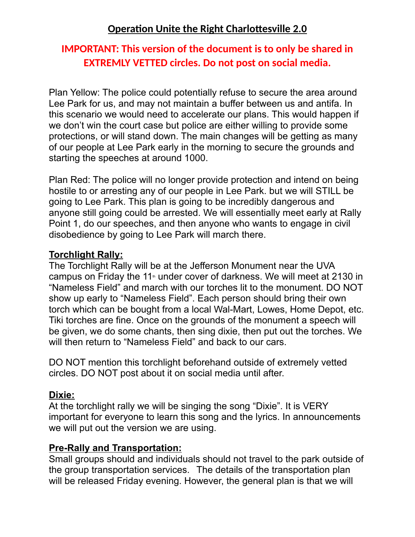# **IMPORTANT: This version of the document is to only be shared in EXTREMLY VETTED circles. Do not post on social media.**

Plan Yellow: The police could potentially refuse to secure the area around Lee Park for us, and may not maintain a buffer between us and antifa. In this scenario we would need to accelerate our plans. This would happen if we don't win the court case but police are either willing to provide some protections, or will stand down. The main changes will be getting as many of our people at Lee Park early in the morning to secure the grounds and starting the speeches at around 1000.

Plan Red: The police will no longer provide protection and intend on being hostile to or arresting any of our people in Lee Park. but we will STILL be going to Lee Park. This plan is going to be incredibly dangerous and anyone still going could be arrested. We will essentially meet early at Rally Point 1, do our speeches, and then anyone who wants to engage in civil disobedience by going to Lee Park will march there.

### **Torchlight Rally:**

The Torchlight Rally will be at the Jefferson Monument near the UVA campus on Friday the 11<sup>th</sup> under cover of darkness. We will meet at 2130 in "Nameless Field" and march with our torches lit to the monument. DO NOT show up early to "Nameless Field". Each person should bring their own torch which can be bought from a local Wal-Mart, Lowes, Home Depot, etc. Tiki torches are fine. Once on the grounds of the monument a speech will be given, we do some chants, then sing dixie, then put out the torches. We will then return to "Nameless Field" and back to our cars.

DO NOT mention this torchlight beforehand outside of extremely vetted circles. DO NOT post about it on social media until after.

### **Dixie:**

At the torchlight rally we will be singing the song "Dixie". It is VERY important for everyone to learn this song and the lyrics. In announcements we will put out the version we are using.

### **Pre-Rally and Transportation:**

Small groups should and individuals should not travel to the park outside of the group transportation services. The details of the transportation plan will be released Friday evening. However, the general plan is that we will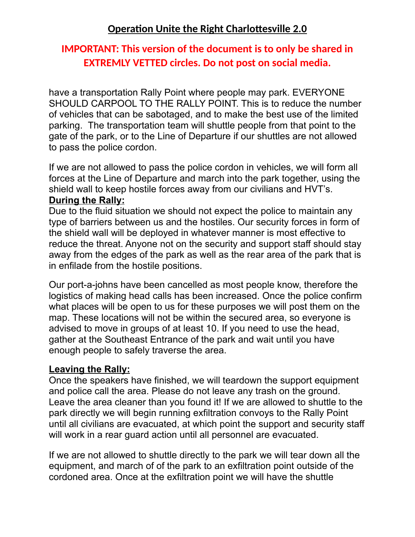# **IMPORTANT: This version of the document is to only be shared in EXTREMLY VETTED circles. Do not post on social media.**

have a transportation Rally Point where people may park. EVERYONE SHOULD CARPOOL TO THE RALLY POINT. This is to reduce the number of vehicles that can be sabotaged, and to make the best use of the limited parking. The transportation team will shuttle people from that point to the gate of the park, or to the Line of Departure if our shuttles are not allowed to pass the police cordon.

If we are not allowed to pass the police cordon in vehicles, we will form all forces at the Line of Departure and march into the park together, using the shield wall to keep hostile forces away from our civilians and HVT's. **During the Rally:**

Due to the fluid situation we should not expect the police to maintain any type of barriers between us and the hostiles. Our security forces in form of the shield wall will be deployed in whatever manner is most effective to reduce the threat. Anyone not on the security and support staff should stay away from the edges of the park as well as the rear area of the park that is in enfilade from the hostile positions.

Our port-a-johns have been cancelled as most people know, therefore the logistics of making head calls has been increased. Once the police confirm what places will be open to us for these purposes we will post them on the map. These locations will not be within the secured area, so everyone is advised to move in groups of at least 10. If you need to use the head, gather at the Southeast Entrance of the park and wait until you have enough people to safely traverse the area.

#### **Leaving the Rally:**

Once the speakers have finished, we will teardown the support equipment and police call the area. Please do not leave any trash on the ground. Leave the area cleaner than you found it! If we are allowed to shuttle to the park directly we will begin running exfiltration convoys to the Rally Point until all civilians are evacuated, at which point the support and security staff will work in a rear guard action until all personnel are evacuated.

If we are not allowed to shuttle directly to the park we will tear down all the equipment, and march of of the park to an exfiltration point outside of the cordoned area. Once at the exfiltration point we will have the shuttle